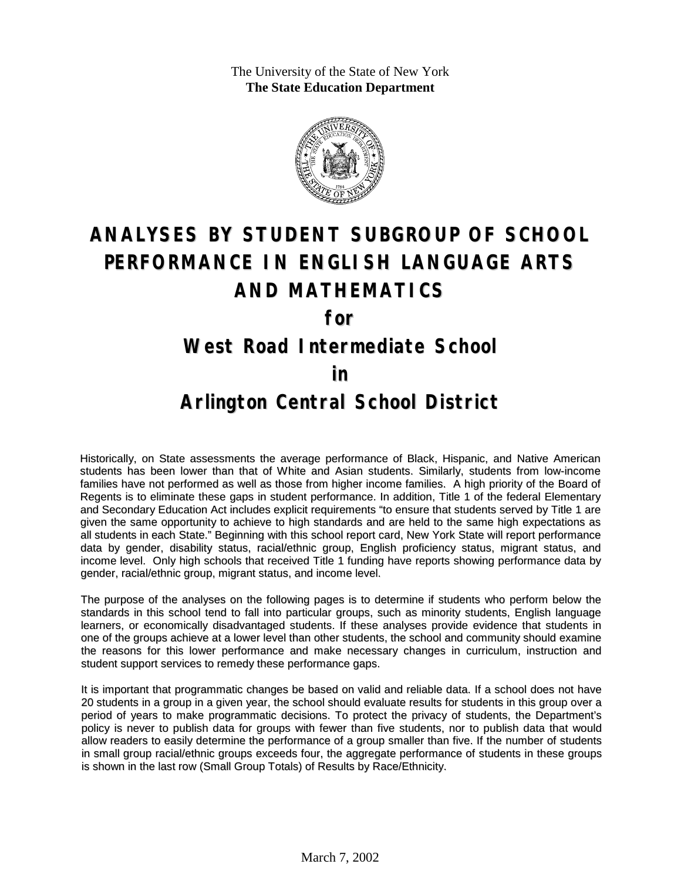The University of the State of New York **The State Education Department**



# **ANALYSES BY STUDENT SUBGROUP OF SCHOOL PERFORMANCE IN ENGLISH LANGUAGE ARTS AND MATHEMATICS**

**for**

#### **West Road Intermediate School**

#### **in**

### **Arlington Central School District**

Historically, on State assessments the average performance of Black, Hispanic, and Native American students has been lower than that of White and Asian students. Similarly, students from low-income families have not performed as well as those from higher income families. A high priority of the Board of Regents is to eliminate these gaps in student performance. In addition, Title 1 of the federal Elementary and Secondary Education Act includes explicit requirements "to ensure that students served by Title 1 are given the same opportunity to achieve to high standards and are held to the same high expectations as all students in each State." Beginning with this school report card, New York State will report performance data by gender, disability status, racial/ethnic group, English proficiency status, migrant status, and income level. Only high schools that received Title 1 funding have reports showing performance data by gender, racial/ethnic group, migrant status, and income level.

The purpose of the analyses on the following pages is to determine if students who perform below the standards in this school tend to fall into particular groups, such as minority students, English language learners, or economically disadvantaged students. If these analyses provide evidence that students in one of the groups achieve at a lower level than other students, the school and community should examine the reasons for this lower performance and make necessary changes in curriculum, instruction and student support services to remedy these performance gaps.

It is important that programmatic changes be based on valid and reliable data. If a school does not have 20 students in a group in a given year, the school should evaluate results for students in this group over a period of years to make programmatic decisions. To protect the privacy of students, the Department's policy is never to publish data for groups with fewer than five students, nor to publish data that would allow readers to easily determine the performance of a group smaller than five. If the number of students in small group racial/ethnic groups exceeds four, the aggregate performance of students in these groups is shown in the last row (Small Group Totals) of Results by Race/Ethnicity.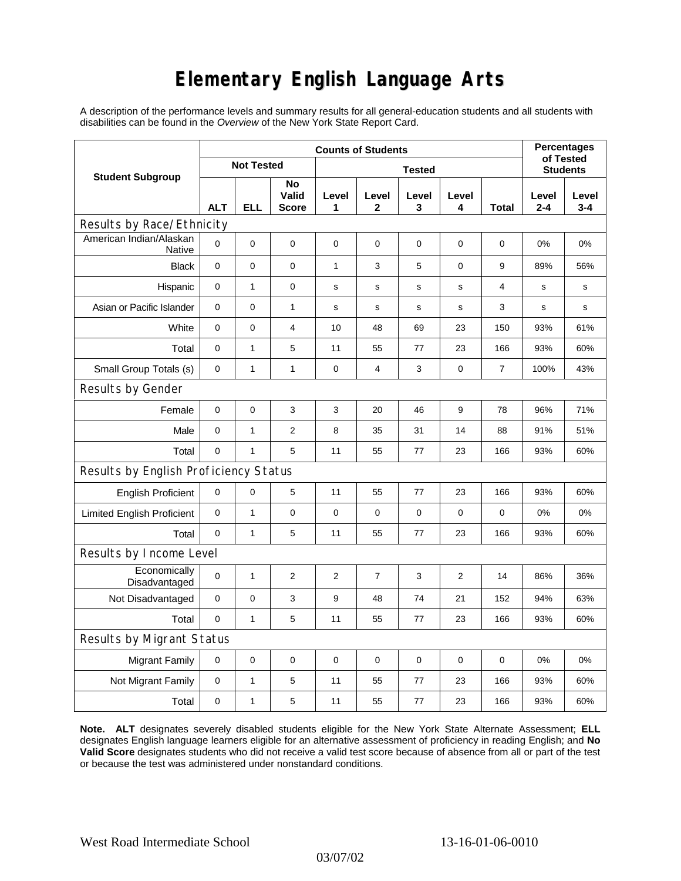## **Elementary English Language Arts**

A description of the performance levels and summary results for all general-education students and all students with disabilities can be found in the *Overview* of the New York State Report Card.

| <b>Student Subgroup</b>                  | <b>Counts of Students</b> |              |                             |                |                |             |            |       | <b>Percentages</b>           |                  |
|------------------------------------------|---------------------------|--------------|-----------------------------|----------------|----------------|-------------|------------|-------|------------------------------|------------------|
|                                          | <b>Not Tested</b>         |              |                             | <b>Tested</b>  |                |             |            |       | of Tested<br><b>Students</b> |                  |
|                                          | <b>ALT</b>                | <b>ELL</b>   | No<br>Valid<br><b>Score</b> | Level<br>1     | Level<br>2     | Level<br>3  | Level<br>4 | Total | Level<br>$2 - 4$             | Level<br>$3 - 4$ |
| Results by Race/Ethnicity                |                           |              |                             |                |                |             |            |       |                              |                  |
| American Indian/Alaskan<br><b>Native</b> | $\mathbf 0$               | 0            | $\pmb{0}$                   | $\pmb{0}$      | 0              | 0           | 0          | 0     | 0%                           | 0%               |
| <b>Black</b>                             | 0                         | 0            | 0                           | 1              | 3              | 5           | 0          | 9     | 89%                          | 56%              |
| Hispanic                                 | 0                         | $\mathbf{1}$ | $\pmb{0}$                   | $\mathbf s$    | $\mathsf{s}$   | $\mathbf S$ | s          | 4     | s                            | s                |
| Asian or Pacific Islander                | 0                         | 0            | $\mathbf{1}$                | s              | s              | s           | s          | 3     | s                            | s                |
| White                                    | $\mathbf 0$               | 0            | $\overline{4}$              | 10             | 48             | 69          | 23         | 150   | 93%                          | 61%              |
| Total                                    | $\mathbf 0$               | $\mathbf{1}$ | 5                           | 11             | 55             | 77          | 23         | 166   | 93%                          | 60%              |
| Small Group Totals (s)                   | 0                         | 1            | 1                           | 0              | 4              | 3           | 0          | 7     | 100%                         | 43%              |
| Results by Gender                        |                           |              |                             |                |                |             |            |       |                              |                  |
| Female                                   | $\mathbf 0$               | $\mathsf 0$  | 3                           | 3              | 20             | 46          | 9          | 78    | 96%                          | 71%              |
| Male                                     | $\mathbf 0$               | 1            | $\overline{2}$              | 8              | 35             | 31          | 14         | 88    | 91%                          | 51%              |
| Total                                    | $\mathbf 0$               | 1            | 5                           | 11             | 55             | 77          | 23         | 166   | 93%                          | 60%              |
| Results by English Proficiency Status    |                           |              |                             |                |                |             |            |       |                              |                  |
| <b>English Proficient</b>                | 0                         | 0            | 5                           | 11             | 55             | 77          | 23         | 166   | 93%                          | 60%              |
| <b>Limited English Proficient</b>        | $\mathbf 0$               | $\mathbf{1}$ | $\pmb{0}$                   | $\pmb{0}$      | 0              | 0           | $\pmb{0}$  | 0     | 0%                           | 0%               |
| Total                                    | $\mathbf 0$               | $\mathbf{1}$ | 5                           | 11             | 55             | 77          | 23         | 166   | 93%                          | 60%              |
| Results by Income Level                  |                           |              |                             |                |                |             |            |       |                              |                  |
| Economically<br>Disadvantaged            | $\mathbf 0$               | 1            | $\overline{c}$              | $\overline{c}$ | $\overline{7}$ | 3           | 2          | 14    | 86%                          | 36%              |
| Not Disadvantaged                        | $\mathbf 0$               | 0            | 3                           | 9              | 48             | 74          | 21         | 152   | 94%                          | 63%              |
| Total                                    | $\mathbf 0$               | $\mathbf{1}$ | 5                           | 11             | 55             | 77          | 23         | 166   | 93%                          | 60%              |
| Results by Migrant Status                |                           |              |                             |                |                |             |            |       |                              |                  |
| <b>Migrant Family</b>                    | 0                         | 0            | $\mathbf 0$                 | $\pmb{0}$      | 0              | $\mathbf 0$ | 0          | 0     | 0%                           | 0%               |
| Not Migrant Family                       | $\pmb{0}$                 | $\mathbf{1}$ | 5                           | 11             | 55             | 77          | 23         | 166   | 93%                          | 60%              |
| Total                                    | 0                         | $\mathbf 1$  | 5                           | 11             | 55             | 77          | 23         | 166   | 93%                          | 60%              |

**Note. ALT** designates severely disabled students eligible for the New York State Alternate Assessment; **ELL** designates English language learners eligible for an alternative assessment of proficiency in reading English; and **No Valid Score** designates students who did not receive a valid test score because of absence from all or part of the test or because the test was administered under nonstandard conditions.